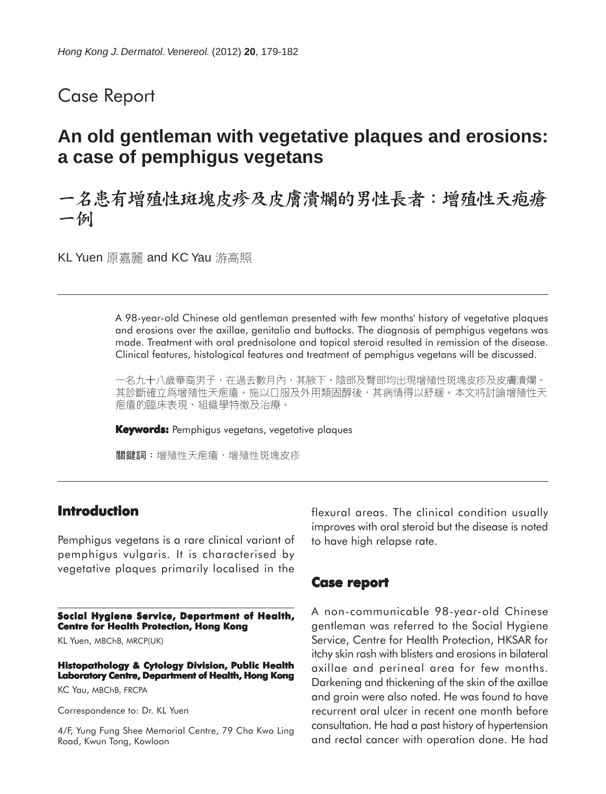## Case Report

# **An old gentleman with vegetative plaques and erosions: a case of pemphigus vegetans**

## 一名患有增殖性斑塊皮疹及皮膚潰爛的男性長者:增殖性天疱瘡 一例

KL Yuen 原嘉麗 and KC Yau 游高照

A 98-year-old Chinese old gentleman presented with few months' history of vegetative plaques and erosions over the axillae, genitalia and buttocks. The diagnosis of pemphigus vegetans was made. Treatment with oral prednisolone and topical steroid resulted in remission of the disease. Clinical features, histological features and treatment of pemphigus vegetans will be discussed.

一名九十八歲華裔男子,在過去數月內,其腋下、陰部及臀部均出現增殖性斑塊皮疹及皮膚潰爛。 其診斷確立爲增殖性天疱瘡。施以口服及外用類固醇後,其病情得以舒緩。本文將討論增殖性天 疱瘡的臨床表現、組織學特徵及治療。

**Keywords:** Pemphigus vegetans, vegetative plaques

關鍵詞:增殖性天疱瘡,增殖性斑塊皮疹

### **Introduction**

Pemphigus vegetans is a rare clinical variant of pemphigus vulgaris. It is characterised by vegetative plaques primarily localised in the

**Social Hygiene Service, Department of Health, Centre for Health Protection, Hong Kong**

KL Yuen, MBChB, MRCP(UK)

**Histopathology & Cytology Division, Public Health Laboratory Centre, Department of Health, Hong Kong**

KC Yau, MBChB, FRCPA

Correspondence to: Dr. KL Yuen

4/F, Yung Fung Shee Memorial Centre, 79 Cha Kwo Ling Road, Kwun Tong, Kowloon

flexural areas. The clinical condition usually improves with oral steroid but the disease is noted to have high relapse rate.

#### **Case report**

A non-communicable 98-year-old Chinese gentleman was referred to the Social Hygiene Service, Centre for Health Protection, HKSAR for itchy skin rash with blisters and erosions in bilateral axillae and perineal area for few months. Darkening and thickening of the skin of the axillae and groin were also noted. He was found to have recurrent oral ulcer in recent one month before consultation. He had a past history of hypertension and rectal cancer with operation done. He had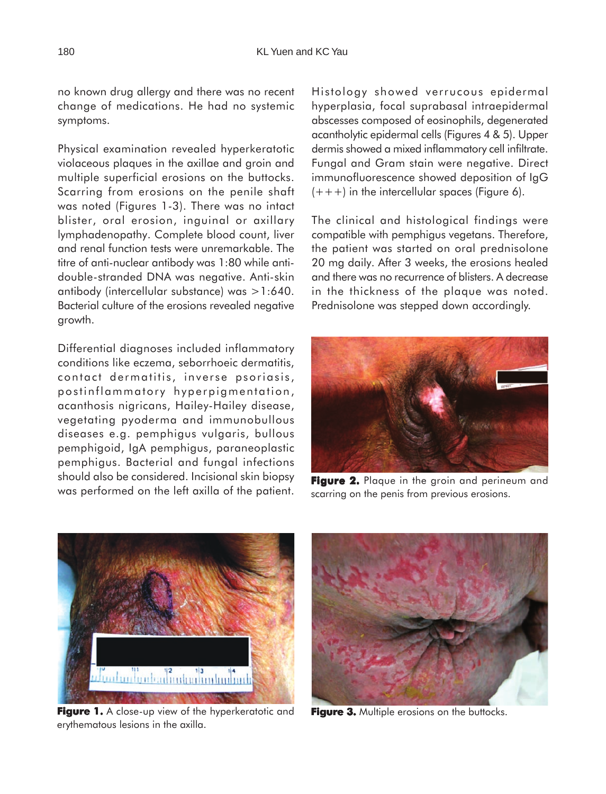no known drug allergy and there was no recent change of medications. He had no systemic symptoms.

Physical examination revealed hyperkeratotic violaceous plaques in the axillae and groin and multiple superficial erosions on the buttocks. Scarring from erosions on the penile shaft was noted (Figures 1-3). There was no intact blister, oral erosion, inguinal or axillary lymphadenopathy. Complete blood count, liver and renal function tests were unremarkable. The titre of anti-nuclear antibody was 1:80 while antidouble-stranded DNA was negative. Anti-skin antibody (intercellular substance) was >1:640. Bacterial culture of the erosions revealed negative growth.

Differential diagnoses included inflammatory conditions like eczema, seborrhoeic dermatitis, contact dermatitis, inverse psoriasis, postinflammatory hyperpigmentation, acanthosis nigricans, Hailey-Hailey disease, vegetating pyoderma and immunobullous diseases e.g. pemphigus vulgaris, bullous pemphigoid, IgA pemphigus, paraneoplastic pemphigus. Bacterial and fungal infections should also be considered. Incisional skin biopsy was performed on the left axilla of the patient.

Histology showed verrucous epidermal hyperplasia, focal suprabasal intraepidermal abscesses composed of eosinophils, degenerated acantholytic epidermal cells (Figures 4 & 5). Upper dermis showed a mixed inflammatory cell infiltrate. Fungal and Gram stain were negative. Direct immunofluorescence showed deposition of IgG  $(+++)$  in the intercellular spaces (Figure 6).

The clinical and histological findings were compatible with pemphigus vegetans. Therefore, the patient was started on oral prednisolone 20 mg daily. After 3 weeks, the erosions healed and there was no recurrence of blisters. A decrease in the thickness of the plaque was noted. Prednisolone was stepped down accordingly.



**Figure 2.** Plaque in the groin and perineum and scarring on the penis from previous erosions.



**Figure 1.** A close-up view of the hyperkeratotic and erythematous lesions in the axilla.



**Figure 3.** Multiple erosions on the buttocks.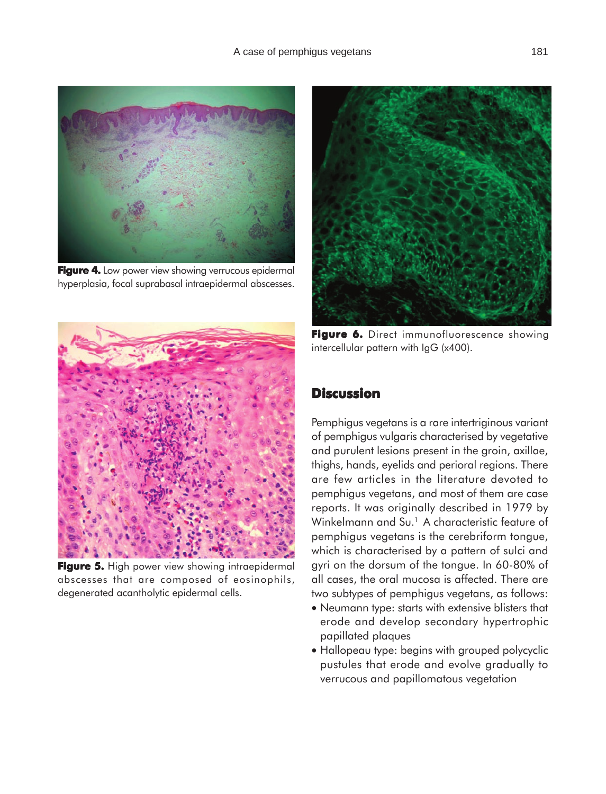

**Figure 4.** Low power view showing verrucous epidermal hyperplasia, focal suprabasal intraepidermal abscesses.



**Figure 5. Figure 5.** High power view showing intraepidermal abscesses that are composed of eosinophils, degenerated acantholytic epidermal cells.



**Figure 6. 6.** Direct immunofluorescence showing intercellular pattern with IgG (x400).

### **Discussion**

Pemphigus vegetans is a rare intertriginous variant of pemphigus vulgaris characterised by vegetative and purulent lesions present in the groin, axillae, thighs, hands, eyelids and perioral regions. There are few articles in the literature devoted to pemphigus vegetans, and most of them are case reports. It was originally described in 1979 by Winkelmann and Su.<sup>1</sup> A characteristic feature of pemphigus vegetans is the cerebriform tongue, which is characterised by a pattern of sulci and gyri on the dorsum of the tongue. In 60-80% of all cases, the oral mucosa is affected. There are two subtypes of pemphigus vegetans, as follows:

- Neumann type: starts with extensive blisters that erode and develop secondary hypertrophic papillated plaques
- Hallopeau type: begins with grouped polycyclic pustules that erode and evolve gradually to verrucous and papillomatous vegetation